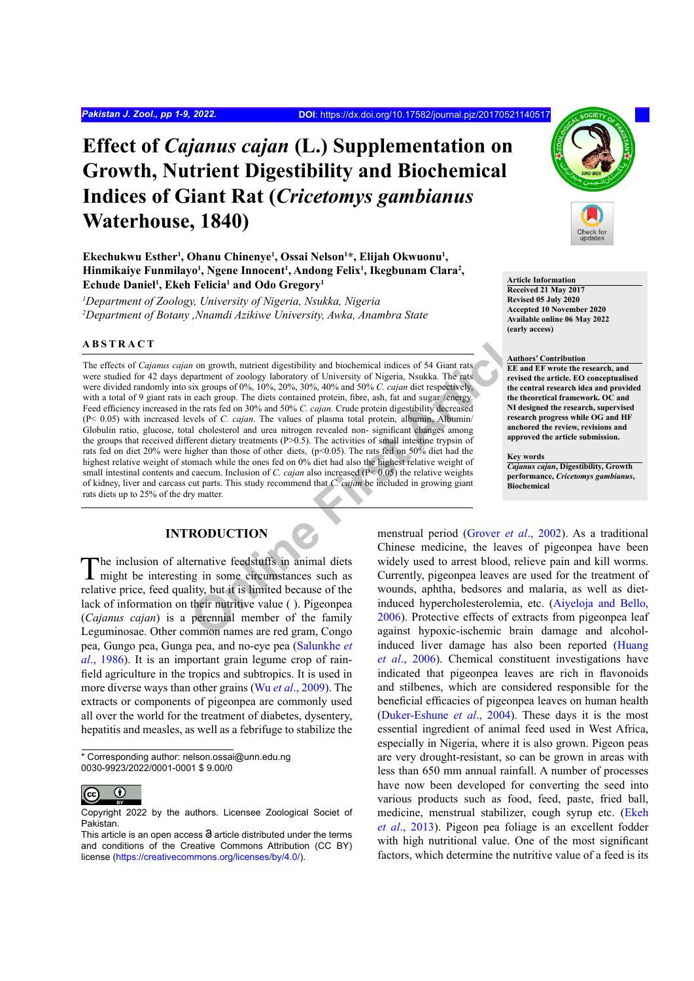# **Effect of** *Cajanus cajan* **(L.) Supplementation on Growth, Nutrient Digestibility and Biochemical Indices of Giant Rat (***Cricetomys gambianus*  **Waterhouse, 1840)**

Ekechukwu Esther<sup>1</sup>, Ohanu Chinenye<sup>1</sup>, Ossai Nelson<sup>1\*</sup>, Elijah Okwuonu<sup>1</sup>, Hinmikaiye Funmilayo<sup>1</sup>, Ngene Innocent<sup>1</sup>, Andong Felix<sup>1</sup>, Ikegbunam Clara<sup>2</sup>, **Echude Daniel1 , Ekeh Felicia1 and Odo Gregory1**

*1 Department of Zoology, University of Nigeria, Nsukka, Nigeria 2 Department of Botany ,Nnamdi Azikiwe University, Awka, Anambra State*

## **ABSTRACT**

**The matter are the conduction of the article in the conduct of the conduct are the properties are the properties are the properties and the set are the test are the properties and the conduct of the conduction and the con** The effects of *Cajanus cajan* on growth, nutrient digestibility and biochemical indices of 54 Giant rats were studied for 42 days department of zoology laboratory of University of Nigeria, Nsukka. The rats were divided randomly into six groups of 0%, 10%, 20%, 30%, 40% and 50% *C. cajan* diet respectively, with a total of 9 giant rats in each group. The diets contained protein, fibre, ash, fat and sugar /energy. Feed efficiency increased in the rats fed on 30% and 50% *C. cajan.* Crude protein digestibility decreased (P< 0.05) with increased levels of *C. cajan*. The values of plasma total protein, albumin, Albumin/ Globulin ratio, glucose, total cholesterol and urea nitrogen revealed non- significant changes among the groups that received different dietary treatments (P>0.5). The activities of small intestine trypsin of rats fed on diet 20% were higher than those of other diets, (p<0.05). The rats fed on 50% diet had the highest relative weight of stomach while the ones fed on 0% diet had also the highest relative weight of small intestinal contents and caecum. Inclusion of *C. cajan* also increased (P< 0.05) the relative weights of kidney, liver and carcass cut parts. This study recommend that *C. cajan* be included in growing giant rats diets up to 25% of the dry matter.

# **INTRODUCTION**

The inclusion of alternative feedstuffs in animal diets might be interesting in some circumstances such as relative price, feed quality, but it is limited because of the lack of information on their nutritive value ( ). Pigeonpea (*Cajanus cajan*) is a perennial member of the family Leguminosae. Other common names are red gram, Congo pea, Gungo pea, Gunga pea, and no-eye pea ([Salunkhe](#page-8-0) *et al*[., 1986](#page-8-0)). It is an important grain legume crop of rainfield agriculture in the tropics and subtropics. It is used in more diverse ways than other grains (Wu *et al*[., 2009\)](#page-8-1). The extracts or components of pigeonpea are commonly used all over the world for the treatment of diabetes, dysentery, hepatitis and measles, as well as a febrifuge to stabilize the

\* Corresponding author: nelson.ossai@unn.edu.ng 0030-9923/2022/0001-0001 \$ 9.00/0



Copyright 2022 by the authors. Licensee Zoological Societ of Pakistan.



#### **Article Information**

**Received 21 May 2017 Revised 05 July 2020 Accepted 10 November 2020 Available online 06 May 2022 (early access)**

#### **Authors' Contribution**

**EE and EF wrote the research, and revised the article. EO conceptualised the central research idea and provided the theoretical framework. OC and NI designed the research, supervised research progress while OG and HF anchored the review, revisions and approved the article submission.**

#### **Key words**

*Cajanus cajan***, Digestibility, Growth performance,** *Cricetomys gambianus***, Biochemical**

menstrual period (Grover *et al*., 2002). As a traditional Chinese medicine, the leaves of pigeonpea have been widely used to arrest blood, relieve pain and kill worms. Currently, pigeonpea leaves are used for the treatment of wounds, aphtha, bedsores and malaria, as well as dietinduced hypercholesterolemia, etc. ([Aiyeloja and Bello,](#page-6-0) 2006). Protective effects of extracts from pigeonpea leaf against hypoxic-ischemic brain damage and alcoholinduced liver damage has also been reported ([Huang](#page-7-1) *et al*[., 2006\)](#page-7-1). Chemical constituent investigations have indicated that pigeonpea leaves are rich in flavonoids and stilbenes, which are considered responsible for the beneficial efficacies of pigeonpea leaves on human health [\(Duker-Eshune](#page-7-2) *et al*., 2004). These days it is the most essential ingredient of animal feed used in West Africa, especially in Nigeria, where it is also grown. Pigeon peas are very drought-resistant, so can be grown in areas with less than 650 mm annual rainfall. A number of processes have now been developed for converting the seed into various products such as food, feed, paste, fried ball, medicine, menstrual stabilizer, cough syrup etc. ([Ekeh](#page-7-3) *et al*[., 2013\)](#page-7-3). Pigeon pea foliage is an excellent fodder with high nutritional value. One of the most significant factors, which determine the nutritive value of a feed is its

This article is an open access  $\Theta$  article distributed under the terms and conditions of the Creative Commons Attribution (CC BY) license (<https://creativecommons.org/licenses/by/4.0/>).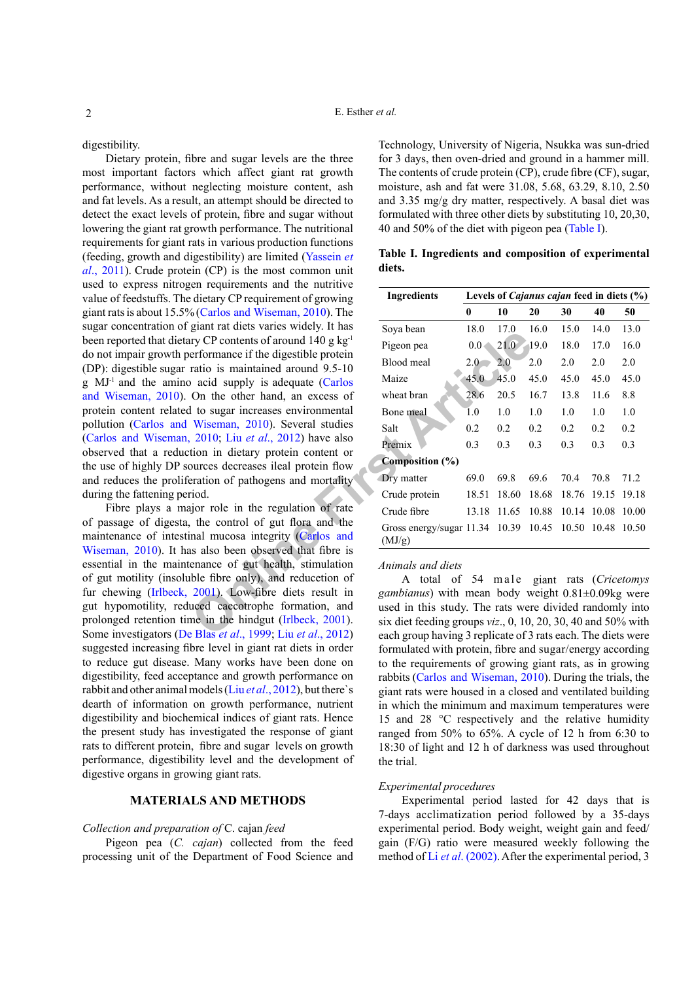digestibility.

Dietary protein, fibre and sugar levels are the three most important factors which affect giant rat growth performance, without neglecting moisture content, ash and fat levels. As a result, an attempt should be directed to detect the exact levels of protein, fibre and sugar without lowering the giant rat growth performance. The nutritional requirements for giant rats in various production functions (feeding, growth and digestibility) are limited [\(Yassein](#page-8-2) *et al*., [2011](#page-8-2)). Crude protein (CP) is the most common unit used to express nitrogen requirements and the nutritive value of feedstuffs. The dietary CP requirement of growing giant rats is about 15.5% (Carlos and [Wiseman,](#page-7-4) 2010). The sugar concentration of giant rat diets varies widely. It has been reported that dietary CP contents of around 140 g kg-1 do not impair growth performance if the digestible protein (DP): digestible sugar ratio is maintained around 9.5-10 g MJ-1 and the amino acid supply is adequate (Carlos and [Wiseman,](#page-7-4) 2010). On the other hand, an excess of protein content related to sugar increases environmental pollution (Carlos and Wiseman, 2010). Several studies (Carlos and [Wiseman,](#page-7-4) 2010; Liu *et al*., 2012) have also observed that a reduction in dietary protein content or the use of highly DP sources decreases ileal protein flow and reduces the proliferation of pathogens and mortality during the fattening period.

Fibre plays a major role in the regulation of rate of passage of digesta, the control of gut flora and the maintenance of intestinal mucosa integrity (Carlos and [Wiseman,](#page-7-4) 2010). It has also been observed that fibre is essential in the maintenance of gut health, stimulation of gut motility (insoluble fibre only), and reducetion of fur chewing (Irlbeck, 2001). Low-fibre diets result in gut hypomotility, reduced caecotrophe formation, and prolonged retention time in the hindgut (Irlbeck, 2001). Some investigators (De Blas *et al*., 1999; Liu *et al*., 2012) suggested increasing fibre level in giant rat diets in order to reduce gut disease. Many works have been done on digestibility, feed acceptance and growth performance on rabbit and other animal models (Liu *et al*., 2012), but there`s dearth of information on growth performance, nutrient digestibility and biochemical indices of giant rats. Hence the present study has investigated the response of giant rats to different protein, fibre and sugar levels on growth performance, digestibility level and the development of digestive organs in growing giant rats.

## **MATERIALS AND METHODS**

## *Collection and preparation of* C. cajan *feed*

Pigeon pea (*C. cajan*) collected from the feed processing unit of the Department of Food Science and

Technology, University of Nigeria, Nsukka was sun-dried for 3 days, then oven-dried and ground in a hammer mill. The contents of crude protein (CP), crude fibre (CF), sugar, moisture, ash and fat were 31.08, 5.68, 63.29, 8.10, 2.50 and 3.35 mg/g dry matter, respectively. A basal diet was formulated with three other diets by substituting 10, 20,30, 40 and 50% of the diet with pigeon pea ([Table I\)](#page-1-0).

<span id="page-1-0"></span>**Table I. Ingredients and composition of experimental diets.**

| dietary CP requirement of growing                                                                              | <b>Ingredients</b>                                                                                                              | Levels of <i>Cajanus cajan</i> feed in diets (%) |             |         |                   |             |       |
|----------------------------------------------------------------------------------------------------------------|---------------------------------------------------------------------------------------------------------------------------------|--------------------------------------------------|-------------|---------|-------------------|-------------|-------|
| 6 (Carlos and Wiseman, 2010). The                                                                              |                                                                                                                                 | $\bf{0}$                                         | 10          | 20      | 30                | 40          | 50    |
| giant rat diets varies widely. It has                                                                          | Soya bean                                                                                                                       | 18.0                                             | 17.0        | 16.0    | 15.0              | 14.0        | 13.0  |
| ry CP contents of around 140 g $kg^{-1}$                                                                       | Pigeon pea                                                                                                                      | 0.0<                                             | 21.0        | $-19.0$ | 18.0              | 17.0        | 16.0  |
| erformance if the digestible protein<br>ratio is maintained around 9.5-10                                      | Blood meal                                                                                                                      | 2.0 <sub>2</sub>                                 | 2.0         | 2.0     | 2.0               | 2.0         | 2.0   |
| acid supply is adequate (Carlos                                                                                | Maize                                                                                                                           | 45.0                                             | 45.0        | 45.0    | 45.0              | 45.0        | 45.0  |
| On the other hand, an excess of                                                                                | wheat bran                                                                                                                      | 28.6                                             | 20.5        | 16.7    | 13.8              | 11.6        | 8.8   |
| I to sugar increases environmental                                                                             | Bone meal                                                                                                                       | $1.0\,$                                          | 1.0         | 1.0     | 1.0               | 1.0         | 1.0   |
| Wiseman, 2010). Several studies                                                                                | Salt                                                                                                                            | 0.2                                              | 0.2         | 0.2     | 0.2               | 0.2         | 0.2   |
| $2010$ ; Liu <i>et al.</i> , $2012$ ) have also<br>tion in dietary protein content or                          | Premix                                                                                                                          | 0.3                                              | 0.3         | 0.3     | 0.3               | 0.3         | 0.3   |
| ources decreases ileal protein flow                                                                            | Composition (%)                                                                                                                 |                                                  |             |         |                   |             |       |
| eration of pathogens and mortality                                                                             | Dry matter                                                                                                                      | 69.0                                             | 69.8        | 69.6    | 70.4              | 70.8        | 71.2  |
| .iod.                                                                                                          | Crude protein                                                                                                                   |                                                  | 18.51 18.60 | 18.68   |                   | 18.76 19.15 | 19.18 |
| ujor role in the regulation of rate                                                                            | Crude fibre                                                                                                                     |                                                  | 13.18 11.65 | 10.88   | 10.14 10.08 10.00 |             |       |
| the control of gut flora and the<br>nal mucosa integrity (Carlos and                                           | Gross energy/sugar 11.34 10.39 10.45 10.50 10.48 10.50<br>(MJ/g)                                                                |                                                  |             |         |                   |             |       |
| is also been observed that fibre is<br>enance of gut health, stimulation<br>ble fibre only), and reducetion of | Animals and diets<br>A total of 54 male giant rats (Cricetomys                                                                  |                                                  |             |         |                   |             |       |
| 2001). Low-fibre diets result in<br>uced caecotrophe formation, and<br>me in the hindgut (Irlbeck, 2001).      | gambianus) with mean body weight $0.81 \pm 0.09$ kg were<br>used in this study. The rats were divided randomly into             |                                                  |             |         |                   |             |       |
| E Blas <i>et al</i> $\left(1999 \cdot 1\right)$ in <i>et al</i> $\left(2012\right)$                            | six diet feeding groups $viz.$ , 0, 10, 20, 30, 40 and 50% with<br>each group having 3 replicate of 3 rats each. The diets were |                                                  |             |         |                   |             |       |

#### *Animals and diets*

A total of 54 m a le giant rats (Cricetomys *gambianus*) with mean body weight 0.81±0.09kg were used in this study. The rats were divided randomly into six diet feeding groups *viz*., 0, 10, 20, 30, 40 and 50% with each group having 3 replicate of 3 rats each. The diets were formulated with protein, fibre and sugar/energy according to the requirements of growing giant rats, as in growing rabbits (Carlos and [Wiseman,](#page-7-4) 2010). During the trials, the giant rats were housed in a closed and ventilated building in which the minimum and maximum temperatures were 15 and 28 °C respectively and the relative humidity ranged from 50% to 65%. A cycle of 12 h from 6:30 to 18:30 of light and 12 h of darkness was used throughout the trial.

#### *Experimental procedures*

Experimental period lasted for 42 days that is 7-days acclimatization period followed by a 35-days experimental period. Body weight, weight gain and feed/ gain (F/G) ratio were measured weekly following the method of Li *et al*[. \(2002\)](#page-7-6). After the experimental period, 3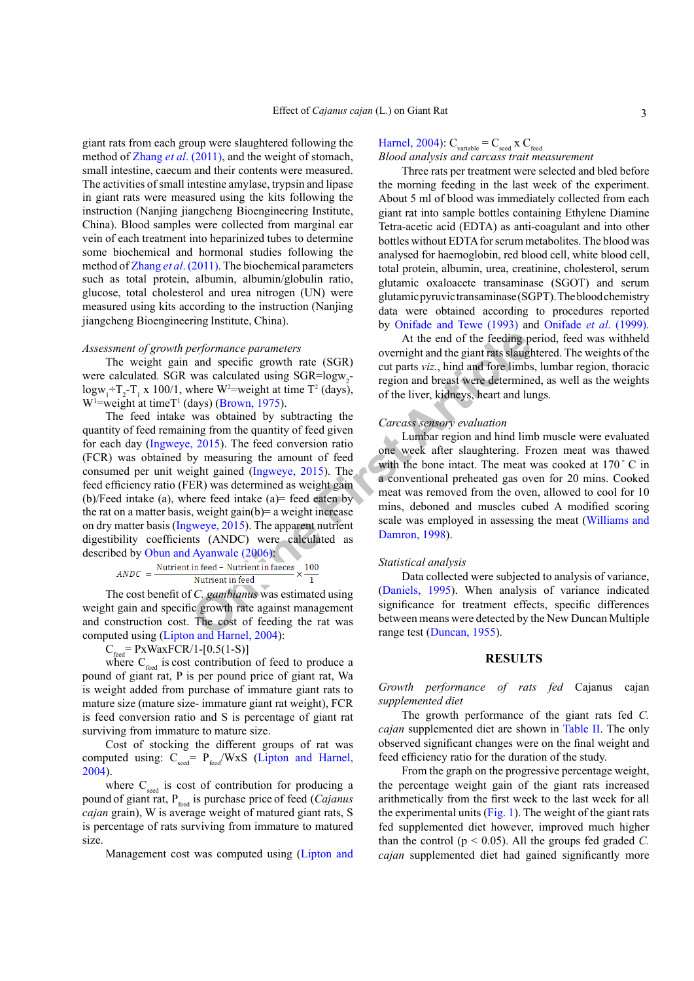giant rats from each group were slaughtered following the method of Zhang *et al*[. \(2011\)](#page-8-3), and the weight of stomach, small intestine, caecum and their contents were measured. The activities of small intestine amylase, trypsin and lipase in giant rats were measured using the kits following the instruction (Nanjing jiangcheng Bioengineering Institute, China). Blood samples were collected from marginal ear vein of each treatment into heparinized tubes to determine some biochemical and hormonal studies following the method of Zhang *et al*[. \(2011\)](#page-8-3). The biochemical parameters such as total protein, albumin, albumin/globulin ratio, glucose, total cholesterol and urea nitrogen (UN) were measured using kits according to the instruction (Nanjing jiangcheng Bioengineering Institute, China).

#### *Assessment of growth performance parameters*

The weight gain and specific growth rate (SGR) were calculated. SGR was calculated using SGR=logw<sub>2</sub> $logw_1 + T_2 - T_1$  x 100/1, where W<sup>2</sup>=weight at time T<sup>2</sup> (days),  $W<sup>1</sup>=$ weight at timeT<sup>1</sup> (days) (Brown, 1975).

**Example 1** and specific good and the giant material and specific growth rate (SGR)<br>
was calculated using SGR=logw<sub>2</sub><br>
was calculated using SGR=logw<sub>2</sub><br>
was calculated using SGR=logw<sub>2</sub><br>
was coltained by subtracting the<br> The feed intake was obtained by subtracting the quantity of feed remaining from the quantity of feed given for each day ([Ingweye, 2015\)](#page-7-8). The feed conversion ratio (FCR) was obtained by measuring the amount of feed consumed per unit weight gained (Ingweye, 2015). The feed efficiency ratio (FER) was determined as weight gain (b)/Feed intake (a), where feed intake (a)= feed eaten by the rat on a matter basis, weight gain(b)= a weight increase on dry matter basis (Ingweye, 2015). The apparent nutrient digestibility coefficients (ANDC) were calculated as described by [Obun and Ayanwale \(2006\):](#page-7-9)

$$
ANDC = \frac{\text{Nutrient in feed} - \text{Nutrient in faces}}{\text{Nutrient in feed}} \times \frac{100}{1}
$$

The cost benefit of *C. gambianus* was estimated using weight gain and specific growth rate against management and construction cost. The cost of feeding the rat was computed using [\(Lipton and Harnel, 2004](#page-7-10)):

 $C_{\text{feed}}$  = PxWaxFCR/1-[0.5(1-S)]

where  $C_{\text{feed}}$  is cost contribution of feed to produce a pound of giant rat, P is per pound price of giant rat, Wa is weight added from purchase of immature giant rats to mature size (mature size- immature giant rat weight), FCR is feed conversion ratio and S is percentage of giant rat surviving from immature to mature size.

Cost of stocking the different groups of rat was computed using:  $C_{\text{seed}} = P_{\text{feed}}/W \times S$  ([Lipton and Harnel,](#page-7-10) [2004\)](#page-7-10).

where  $C_{\text{seed}}$  is cost of contribution for producing a pound of giant rat, P<sub>feed</sub> is purchase price of feed (*Cajanus cajan* grain), W is average weight of matured giant rats, S is percentage of rats surviving from immature to matured size.

Management cost was computed using [\(Lipton and](#page-7-10)

# [Harnel, 2004\)](#page-7-10):  $C_{\text{variable}} = C_{\text{seed}} \times C_{\text{feed}}$

#### *Blood analysis and carcass trait measurement*

Three rats per treatment were selected and bled before the morning feeding in the last week of the experiment. About 5 ml of blood was immediately collected from each giant rat into sample bottles containing Ethylene Diamine Tetra-acetic acid (EDTA) as anti-coagulant and into other bottles without EDTA for serum metabolites. The blood was analysed for haemoglobin, red blood cell, white blood cell, total protein, albumin, urea, creatinine, cholesterol, serum glutamic oxaloacete transaminase (SGOT) and serum glutamic pyruvic transaminase (SGPT). The blood chemistry data were obtained according to procedures reported by [Onifade and Tewe \(1993\)](#page-8-4) and Onifade *et al*[. \(1999\).](#page-8-5)

At the end of the feeding period, feed was withheld overnight and the giant rats slaughtered. The weights of the cut parts *viz*., hind and fore limbs, lumbar region, thoracic region and breast were determined, as well as the weights of the liver, kidneys, heart and lungs.

#### *Carcass sensory evaluation*

Lumbar region and hind limb muscle were evaluated one week after slaughtering. Frozen meat was thawed with the bone intact. The meat was cooked at 170 °C in a conventional preheated gas oven for 20 mins. Cooked meat was removed from the oven, allowed to cool for 10 mins, deboned and muscles cubed A modified scoring scale was employed in assessing the meat [\(Williams and](#page-8-6) Damron, 1998).

#### *Statistical analysis*

Data collected were subjected to analysis of variance, (Daniels, 1995). When analysis of variance indicated significance for treatment effects, specific differences between means were detected by the New Duncan Multiple range test (Duncan, 1955).

## **RESULTS**

*Growth performance of rats fed* Cajanus cajan *supplemented diet*

The growth performance of the giant rats fed *C. cajan* supplemented diet are shown in [Table II.](#page-3-0) The only observed significant changes were on the final weight and feed efficiency ratio for the duration of the study.

From the graph on the progressive percentage weight, the percentage weight gain of the giant rats increased arithmetically from the first week to the last week for all the experimental units [\(Fig. 1](#page-3-1)). The weight of the giant rats fed supplemented diet however, improved much higher than the control ( $p \le 0.05$ ). All the groups fed graded *C*. *cajan* supplemented diet had gained significantly more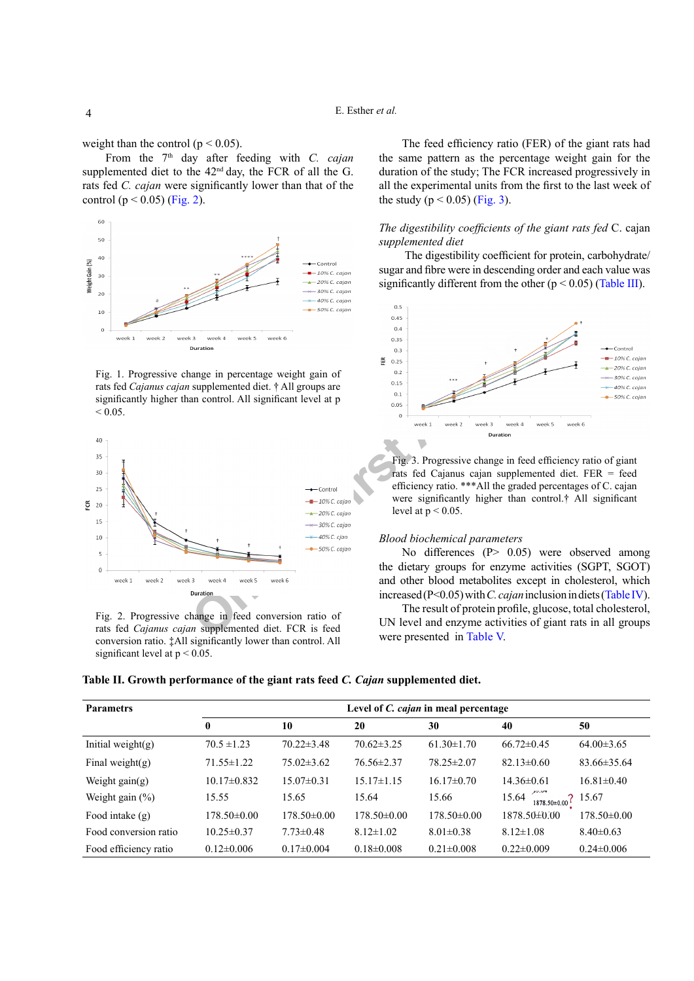weight than the control ( $p < 0.05$ ).

From the 7<sup>th</sup> day after feeding with *C. cajan* supplemented diet to the  $42<sup>nd</sup>$  day, the FCR of all the G. rats fed *C. cajan* were significantly lower than that of the control ( $p < 0.05$ ) [\(Fig. 2\)](#page-3-2).



<span id="page-3-1"></span>Fig. 1. Progressive change in percentage weight gain of rats fed *Cajanus cajan* supplemented diet. † All groups are significantly higher than control. All significant level at p  $< 0.05$ .



<span id="page-3-2"></span>Fig. 2. Progressive change in feed conversion ratio of rats fed *Cajanus cajan* supplemented diet. FCR is feed conversion ratio. ‡All significantly lower than control. All significant level at  $p < 0.05$ .

The feed efficiency ratio (FER) of the giant rats had the same pattern as the percentage weight gain for the duration of the study; The FCR increased progressively in all the experimental units from the first to the last week of the study ( $p < 0.05$ ) ([Fig. 3](#page-3-3)).

## *The digestibility coefficients of the giant rats fed* C. cajan *supplemented diet*

 The digestibility coefficient for protein, carbohydrate/ sugar and fibre were in descending order and each value was significantly different from the other ( $p < 0.05$ ) ([Table III\)](#page-4-0).



<span id="page-3-3"></span>Fig. 3. Progressive change in feed efficiency ratio of giant rats fed Cajanus cajan supplemented diet. FER = feed efficiency ratio. \*\*\*All the graded percentages of C. cajan were significantly higher than control.† All significant level at  $p < 0.05$ .

#### *Blood biochemical parameters*

No differences (P> 0.05) were observed among the dietary groups for enzyme activities (SGPT, SGOT) and other blood metabolites except in cholesterol, which increased (P<0.05) with *C. cajan* inclusion in diets [\(Table IV](#page-4-1)).

The result of protein profile, glucose, total cholesterol, UN level and enzyme activities of giant rats in all groups were presented in [Table](#page-4-2) V.

<span id="page-3-0"></span>**Table II. Growth performance of the giant rats feed** *C. Cajan* **supplemented diet.**

| <b>Parametrs</b>      | Level of <i>C. cajan</i> in meal percentage |                  |                  |                  |                                     |                   |  |  |  |
|-----------------------|---------------------------------------------|------------------|------------------|------------------|-------------------------------------|-------------------|--|--|--|
|                       | $\bf{0}$                                    | 10               | 20               | 30               | 40                                  | 50                |  |  |  |
| Initial weight $(g)$  | $70.5 \pm 1.23$                             | $70.22 \pm 3.48$ | $70.62 \pm 3.25$ | $61.30 \pm 1.70$ | $66.72 \pm 0.45$                    | $64.00\pm3.65$    |  |  |  |
| Final weight $(g)$    | $71.55 \pm 1.22$                            | $75.02\pm3.62$   | $76.56 \pm 2.37$ | $78.25 \pm 2.07$ | $82.13 \pm 0.60$                    | $83.66 \pm 35.64$ |  |  |  |
| Weight gain $(g)$     | $10.17\pm0.832$                             | $15.07 \pm 0.31$ | $15.17\pm1.15$   | $16.17\pm0.70$   | $14.36\pm0.61$                      | $16.81 \pm 0.40$  |  |  |  |
| Weight gain $(\% )$   | 15.55                                       | 15.65            | 15.64            | 15.66            | 15.64<br>$1878.50 \pm 0.00$ ? 15.67 |                   |  |  |  |
| Food intake $(g)$     | $178.50\pm0.00$                             | 178.50±0.00      | $178.50\pm0.00$  | $178.50\pm0.00$  | 1878.50±0.00                        | $178.50\pm0.00$   |  |  |  |
| Food conversion ratio | $10.25 \pm 0.37$                            | $7.73 \pm 0.48$  | $8.12 \pm 1.02$  | $8.01 \pm 0.38$  | $8.12 \pm 1.08$                     | $8.40\pm0.63$     |  |  |  |
| Food efficiency ratio | $0.12\pm0.006$                              | $0.17 \pm 0.004$ | $0.18 \pm 0.008$ | $0.21 \pm 0.008$ | $0.22 \pm 0.009$                    | $0.24 \pm 0.006$  |  |  |  |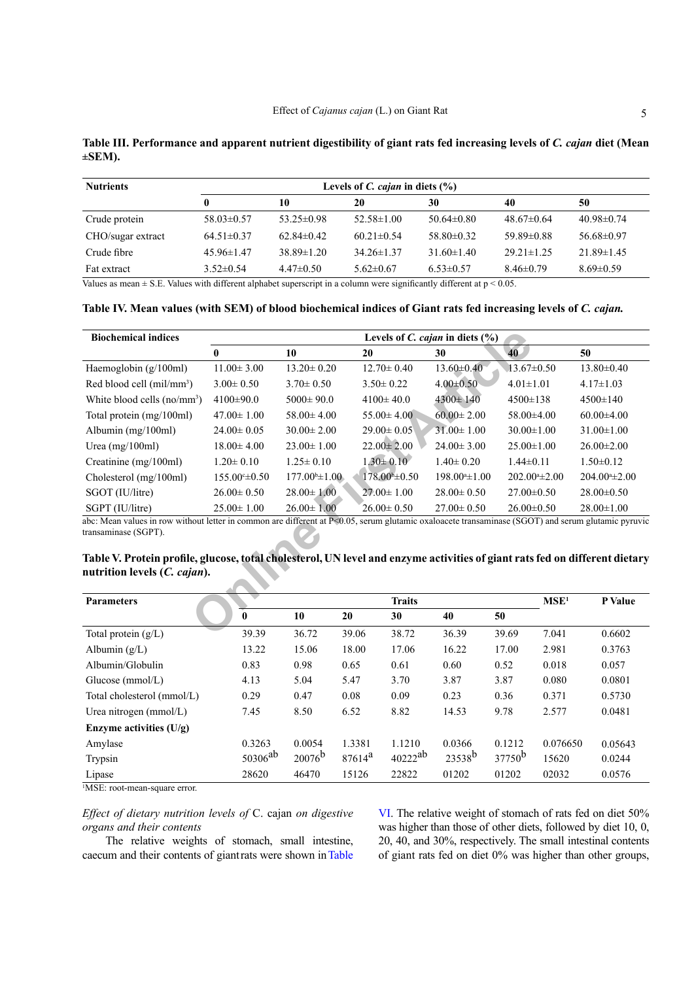<span id="page-4-0"></span>

|             | Table III. Performance and apparent nutrient digestibility of giant rats fed increasing levels of C. cajan diet (Mean |  |  |  |
|-------------|-----------------------------------------------------------------------------------------------------------------------|--|--|--|
| $\pm$ SEM). |                                                                                                                       |  |  |  |

| <b>Nutrients</b>  | Levels of C. cajan in diets $(\% )$ |                  |                  |                  |                  |                  |  |  |  |  |
|-------------------|-------------------------------------|------------------|------------------|------------------|------------------|------------------|--|--|--|--|
|                   |                                     | 10               | 20               | 30               | 40               | 50               |  |  |  |  |
| Crude protein     | $58.03\pm0.57$                      | $53.25 \pm 0.98$ | $52.58 \pm 1.00$ | $50.64 \pm 0.80$ | $48.67\pm0.64$   | $40.98 \pm 0.74$ |  |  |  |  |
| CHO/sugar extract | $64.51\pm0.37$                      | $62.84\pm0.42$   | $60.21 \pm 0.54$ | $58.80\pm0.32$   | $59.89 \pm 0.88$ | $56.68\pm0.97$   |  |  |  |  |
| Crude fibre       | $45.96\pm1.47$                      | $38.89 \pm 1.20$ | $34.26 \pm 1.37$ | $31.60 \pm 1.40$ | $29.21 \pm 1.25$ | $21.89 \pm 1.45$ |  |  |  |  |
| Fat extract       | $3.52\pm0.54$                       | $4.47\pm0.50$    | $5.62 \pm 0.67$  | $6.53 \pm 0.57$  | $8.46 \pm 0.79$  | $8.69 \pm 0.59$  |  |  |  |  |

Values as mean  $\pm$  S.E. Values with different alphabet superscript in a column were significantly different at  $p < 0.05$ .

## <span id="page-4-1"></span>Table IV. Mean values (with SEM) of blood biochemical indices of Giant rats fed increasing levels of *C. cajan.*

| <b>Biochemical indices</b>                                                                                                                                                                                                                                                                                                                |                   |                           | Levels of C. cajan in diets $(\% )$ |                    |                    |                    |
|-------------------------------------------------------------------------------------------------------------------------------------------------------------------------------------------------------------------------------------------------------------------------------------------------------------------------------------------|-------------------|---------------------------|-------------------------------------|--------------------|--------------------|--------------------|
|                                                                                                                                                                                                                                                                                                                                           | $\mathbf{0}$      | 10                        | 20                                  | 30                 | 40                 | 50                 |
| Haemoglobin $(g/100ml)$                                                                                                                                                                                                                                                                                                                   | $11.00 \pm 3.00$  | $13.20 \pm 0.20$          | $12.70 \pm 0.40$                    | $13.60 \pm 0.40$   | $13.67 \pm 0.50$   | $13.80 \pm 0.40$   |
| Red blood cell $(mil/mm3)$                                                                                                                                                                                                                                                                                                                | $3.00 \pm 0.50$   | $3.70 \pm 0.50$           | $3.50 \pm 0.22$                     | $4.00 \pm 0.50$    | $4.01 \pm 1.01$    | $4.17 \pm 1.03$    |
| White blood cells $(no/mm^3)$                                                                                                                                                                                                                                                                                                             | $4100 \pm 90.0$   | $5000 \pm 90.0$           | $4100 \pm 40.0$                     | $4300 \pm 140$     | $4500 \pm 138$     | $4500 \pm 140$     |
| Total protein (mg/100ml)                                                                                                                                                                                                                                                                                                                  | $47.00 \pm 1.00$  | $58.00 \pm 4.00$          | $55.00 \pm 4.00$                    | $60.00 \pm 2.00$   | $58.00\pm4.00$     | $60.00 \pm 4.00$   |
| Albumin (mg/100ml)                                                                                                                                                                                                                                                                                                                        | $24.00 \pm 0.05$  | $30.00 \pm 2.00$          | $29.00 \pm 0.05$                    | $31.00 \pm 1.00$   | $30.00 \pm 1.00$   | $31.00 \pm 1.00$   |
| Urea $(mg/100ml)$                                                                                                                                                                                                                                                                                                                         | $18.00 \pm 4.00$  | $23.00 \pm 1.00$          | $22.00 \pm 2.00$                    | $24.00 \pm 3.00$   | $25.00 \pm 1.00$   | $26.00 \pm 2.00$   |
| Creatinine (mg/100ml)                                                                                                                                                                                                                                                                                                                     | $1.20 \pm 0.10$   | $1.25 \pm 0.10$           | $1.30 \pm 0.10$                     | $1.40 \pm 0.20$    | $1.44 \pm 0.11$    | $1.50 \pm 0.12$    |
| Cholesterol (mg/100ml)                                                                                                                                                                                                                                                                                                                    | $155.00 \pm 0.50$ | $177.00^{\circ} \pm 1.00$ | $178.00b\pm 0.50$                   | $198.00* \pm 1.00$ | $202.00* \pm 2.00$ | $204.004 \pm 2.00$ |
| SGOT (IU/litre)                                                                                                                                                                                                                                                                                                                           | $26.00 \pm 0.50$  | $28.00 \pm 1.00$          | $27.00 \pm 1.00$                    | $28.00 \pm 0.50$   | $27.00 \pm 0.50$   | $28.00 \pm 0.50$   |
| SGPT (IU/litre)                                                                                                                                                                                                                                                                                                                           | $25.00 \pm 1.00$  | $26.00 \pm 1.00$          | $26.00 \pm 0.50$                    | $27.00 \pm 0.50$   | $26.00 \pm 0.50$   | $28.00 \pm 1.00$   |
| abc: Mean values in row without letter in common are different at P<0.05, serum glutamic oxaloacete transaminase (SGOT) and serum glutamic pyruvic<br>transaminase (SGPT).<br>Table V. Protein profile, glucose, total cholesterol, UN level and enzyme activities of giant rats fed on different dietary<br>nutrition levels (C. cajan). |                   |                           |                                     |                    |                    |                    |
|                                                                                                                                                                                                                                                                                                                                           |                   |                           |                                     |                    |                    |                    |
| <b>Parameters</b>                                                                                                                                                                                                                                                                                                                         |                   |                           | <b>Traits</b>                       |                    | MSE <sup>1</sup>   | P Value            |
|                                                                                                                                                                                                                                                                                                                                           | $\bf{0}$          | 10<br>20                  | 30                                  | 40                 | 50                 |                    |
| Total protein $(g/L)$                                                                                                                                                                                                                                                                                                                     | 39.39             | 36.72                     | 39.06<br>38.72                      | 36.39              | 39.69<br>7.041     | 0.6602             |

# <span id="page-4-2"></span>**Table V. Protein profile, glucose, total cholesterol, UN level and enzyme activities of giant rats fed on different dietary nutrition levels (***C. cajan***).**

| <b>Parameters</b>          | <b>Traits</b> |                 |           |              |             |           | MSE <sup>1</sup> | P Value |
|----------------------------|---------------|-----------------|-----------|--------------|-------------|-----------|------------------|---------|
|                            | $\bf{0}$      | 10              | 20        | 30           | 40          | 50        |                  |         |
| Total protein $(g/L)$      | 39.39         | 36.72           | 39.06     | 38.72        | 36.39       | 39.69     | 7.041            | 0.6602  |
| Albumin $(g/L)$            | 13.22         | 15.06           | 18.00     | 17.06        | 16.22       | 17.00     | 2.981            | 0.3763  |
| Albumin/Globulin           | 0.83          | 0.98            | 0.65      | 0.61         | 0.60        | 0.52      | 0.018            | 0.057   |
| Glucose $(mmol/L)$         | 4.13          | 5.04            | 5.47      | 3.70         | 3.87        | 3.87      | 0.080            | 0.0801  |
| Total cholesterol (mmol/L) | 0.29          | 0.47            | 0.08      | 0.09         | 0.23        | 0.36      | 0.371            | 0.5730  |
| Urea nitrogen $(mmol/L)$   | 7.45          | 8.50            | 6.52      | 8.82         | 14.53       | 9.78      | 2.577            | 0.0481  |
| Enzyme activities $(U/g)$  |               |                 |           |              |             |           |                  |         |
| Amylase                    | 0.3263        | 0.0054          | 1.3381    | 1.1210       | 0.0366      | 0.1212    | 0.076650         | 0.05643 |
| Trypsin                    | $50306^{ab}$  | $20076^{\rm b}$ | $87614^a$ | $40222^{ab}$ | $23538^{b}$ | $37750^b$ | 15620            | 0.0244  |
| Lipase                     | 28620         | 46470           | 15126     | 22822        | 01202       | 01202     | 02032            | 0.0576  |

<sup>1</sup>MSE: root-mean-square error.

*Effect of dietary nutrition levels of* C. cajan *on digestive organs and their contents*

The relative weights of stomach, small intestine, caecum and their contents of giant rats were shown in [Table](#page-5-0) [VI](#page-5-0). The relative weight of stomach of rats fed on diet 50% was higher than those of other diets, followed by diet 10, 0, 20, 40, and 30%, respectively. The small intestinal contents of giant rats fed on diet 0% was higher than other groups,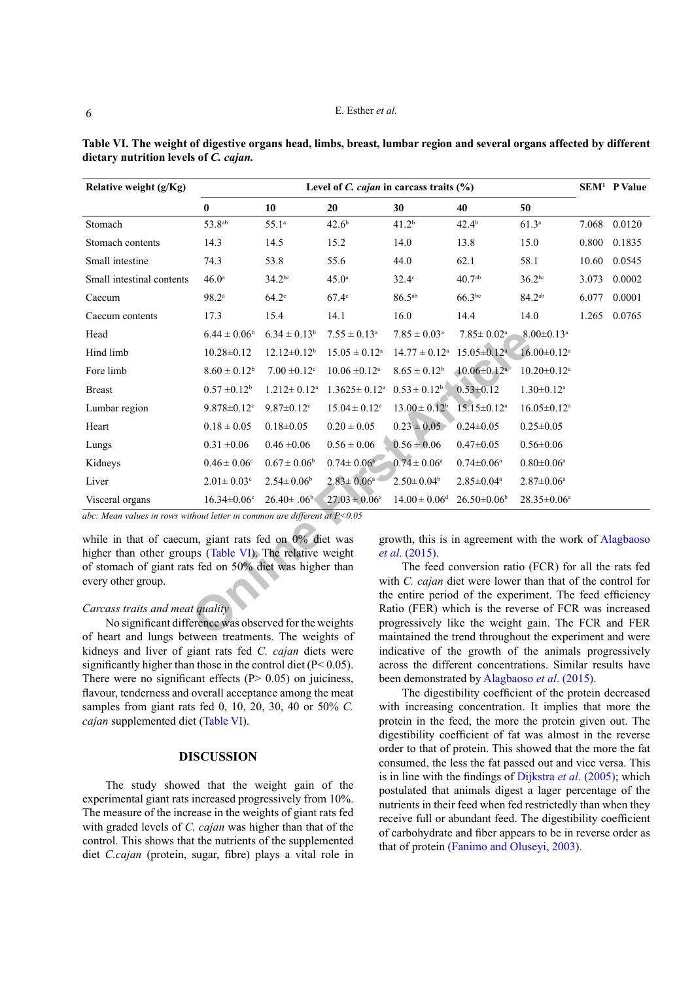| Relative weight (g/Kg)                                                                                          | SEM <sup>1</sup> P Value<br>Level of <i>C. cajan</i> in carcass traits $(\%)$ |                               |                                |                                                                                                              |                                                      |                               |       |        |  |
|-----------------------------------------------------------------------------------------------------------------|-------------------------------------------------------------------------------|-------------------------------|--------------------------------|--------------------------------------------------------------------------------------------------------------|------------------------------------------------------|-------------------------------|-------|--------|--|
|                                                                                                                 | $\bf{0}$                                                                      | 10                            | 20                             | 30                                                                                                           | 40                                                   | 50                            |       |        |  |
| Stomach                                                                                                         | 53.8 <sup>ab</sup>                                                            | 55.1 <sup>a</sup>             | 42.6 <sup>b</sup>              | 41.2 <sup>b</sup>                                                                                            | $42.4^{b}$                                           | 61.3 <sup>a</sup>             | 7.068 | 0.0120 |  |
| Stomach contents                                                                                                | 14.3                                                                          | 14.5                          | 15.2                           | 14.0                                                                                                         | 13.8                                                 | 15.0                          | 0.800 | 0.1835 |  |
| Small intestine                                                                                                 | 74.3                                                                          | 53.8                          | 55.6                           | 44.0                                                                                                         | 62.1                                                 | 58.1                          | 10.60 | 0.0545 |  |
| Small intestinal contents                                                                                       | 46.0 <sup>a</sup>                                                             | $34.2^{bc}$                   | 45.0 <sup>a</sup>              | $32.4^\circ$                                                                                                 | 40.7 <sup>ab</sup>                                   | $36.2^{bc}$                   | 3.073 | 0.0002 |  |
| Caecum                                                                                                          | 98.2 <sup>a</sup>                                                             | $64.2^\circ$                  | $67.4^\circ$                   | $86.5^{ab}$                                                                                                  | $66.3^{bc}$                                          | $84.2^{ab}$                   | 6.077 | 0.0001 |  |
| Caecum contents                                                                                                 | 17.3                                                                          | 15.4                          | 14.1                           | 16.0                                                                                                         | 14.4                                                 | 14.0                          | 1.265 | 0.0765 |  |
| Head                                                                                                            | $6.44 \pm 0.06^b$                                                             | $6.34 \pm 0.13^b$             | $7.55 \pm 0.13^a$              | $7.85 \pm 0.03^a$                                                                                            | $7.85 \pm 0.02^a$                                    | $8.00 \pm 0.13$ <sup>a</sup>  |       |        |  |
| Hind limb                                                                                                       | $10.28 \pm 0.12$                                                              | $12.12 \pm 0.12^b$            | $15.05 \pm 0.12^a$             | $14.77 \pm 0.12^a$                                                                                           | $15.05 \pm 0.12$ <sup>a</sup>                        | $16.00 \pm 0.12$ <sup>a</sup> |       |        |  |
| Fore limb                                                                                                       | $8.60 \pm 0.12^b$                                                             | $7.00 \pm 0.12$ <sup>c</sup>  | $10.06 \pm 0.12$ <sup>a</sup>  | $8.65 \pm 0.12^b$                                                                                            | $10.06 \pm 0.12$ <sup>a</sup>                        | $10.20 \pm 0.12$ <sup>a</sup> |       |        |  |
| <b>Breast</b>                                                                                                   | $0.57 \pm 0.12^b$                                                             | $1.212 \pm 0.12$ <sup>a</sup> | $1.3625 \pm 0.12$ <sup>a</sup> | $0.53 \pm 0.12^b$                                                                                            | $0.53 \pm 0.12$                                      | $1.30 \pm 0.12$ <sup>a</sup>  |       |        |  |
| Lumbar region                                                                                                   | $9.878 \pm 0.12$ <sup>c</sup>                                                 | $9.87 \pm 0.12$ <sup>c</sup>  | $15.04 \pm 0.12^a$             | $13.00 \pm 0.12^b$                                                                                           | $15.15 \pm 0.12$ <sup>a</sup>                        | $16.05 \pm 0.12$ <sup>a</sup> |       |        |  |
| Heart                                                                                                           | $0.18 \pm 0.05$                                                               | $0.18 \pm 0.05$               | $0.20 \pm 0.05$                | $0.23 \pm 0.05$                                                                                              | $0.24 \pm 0.05$                                      | $0.25 \pm 0.05$               |       |        |  |
| Lungs                                                                                                           | $0.31 \pm 0.06$                                                               | $0.46 \pm 0.06$               | $0.56 \pm 0.06$                | $0.56 \pm 0.06$                                                                                              | $0.47 \pm 0.05$                                      | $0.56 \pm 0.06$               |       |        |  |
| Kidneys                                                                                                         | $0.46 \pm 0.06^{\circ}$                                                       | $0.67 \pm 0.06^b$             | $0.74 \pm 0.06^a$              | $0.74 \pm 0.06^a$                                                                                            | $0.74 \pm 0.06^a$                                    | $0.80 \pm 0.06^a$             |       |        |  |
| Liver                                                                                                           | $2.01 \pm 0.03$ <sup>c</sup>                                                  | $2.54 \pm 0.06$ <sup>b</sup>  | $2.83 \pm 0.06^a$              | $2.50 \pm 0.04^b$                                                                                            | $2.85 \pm 0.04^a$                                    | $2.87 \pm 0.06^a$             |       |        |  |
| Visceral organs                                                                                                 | $16.34 \pm 0.06$ <sup>c</sup>                                                 | $26.40\pm.06^{\rm b}$         | $27.03 \pm 0.06^a$             | $14.00 \pm 0.06$ <sup>d</sup>                                                                                | $26.50\pm0.06^b$                                     | $28.35 \pm 0.06^a$            |       |        |  |
| abc: Mean values in rows without letter in common are different at $P < 0.05$                                   |                                                                               |                               |                                |                                                                                                              |                                                      |                               |       |        |  |
| while in that of caecum, giant rats fed on 0% diet was                                                          |                                                                               |                               |                                | growth, this is in agreement with the work of Alagbaosc                                                      |                                                      |                               |       |        |  |
| higher than other groups (Table VI). The relative weight                                                        |                                                                               |                               |                                | <i>et al.</i> (2015).                                                                                        |                                                      |                               |       |        |  |
| of stomach of giant rats fed on 50% diet was higher than                                                        |                                                                               |                               |                                |                                                                                                              | The feed conversion ratio (FCR) for all the rats fed |                               |       |        |  |
| every other group.                                                                                              |                                                                               |                               |                                | with <i>C. cajan</i> diet were lower than that of the control for                                            |                                                      |                               |       |        |  |
|                                                                                                                 |                                                                               |                               |                                | the entire period of the experiment. The feed efficiency                                                     |                                                      |                               |       |        |  |
| Carcass traits and meat quality                                                                                 |                                                                               |                               |                                | Ratio (FER) which is the reverse of FCR was increased<br>progressively like the weight gain. The FCR and FER |                                                      |                               |       |        |  |
| No significant difference was observed for the weights<br>of heart and lungs between treatments. The weights of |                                                                               |                               |                                | mointained the trend throughout the experiment and were                                                      |                                                      |                               |       |        |  |

<span id="page-5-0"></span>**Table VI. The weight of digestive organs head, limbs, breast, lumbar region and several organs affected by different dietary nutrition levels of** *C. cajan.*

#### *Carcass traits and meat quality*

No significant difference was observed for the weights of heart and lungs between treatments. The weights of kidneys and liver of giant rats fed *C. cajan* diets were significantly higher than those in the control diet (P<0.05). There were no significant effects  $(P > 0.05)$  on juiciness, flavour, tenderness and overall acceptance among the meat samples from giant rats fed 0, 10, 20, 30, 40 or 50% *C. cajan* supplemented diet [\(Table](#page-5-0) VI).

## **DISCUSSION**

The study showed that the weight gain of the experimental giant rats increased progressively from 10%. The measure of the increase in the weights of giant rats fed with graded levels of *C. cajan* was higher than that of the control. This shows that the nutrients of the supplemented diet *C.cajan* (protein, sugar, fibre) plays a vital role in

The feed conversion ratio (FCR) for all the rats fed with *C. cajan* diet were lower than that of the control for the entire period of the experiment. The feed efficiency Ratio (FER) which is the reverse of FCR was increased progressively like the weight gain. The FCR and FER maintained the trend throughout the experiment and were indicative of the growth of the animals progressively across the different concentrations. Similar results have been demonstrated by [Alagbaoso](#page-6-1) *et al*. (2015).

The digestibility coefficient of the protein decreased with increasing concentration. It implies that more the protein in the feed, the more the protein given out. The digestibility coefficient of fat was almost in the reverse order to that of protein. This showed that the more the fat consumed, the less the fat passed out and vice versa. This is in line with the findings of [Dijkstra](#page-7-12) *et al*. (2005); which postulated that animals digest a lager percentage of the nutrients in their feed when fed restrictedly than when they receive full or abundant feed. The digestibility coefficient of carbohydrate and fiber appears to be in reverse order as that of protein ([Fanimo and Oluseyi, 2003\)](#page-7-13).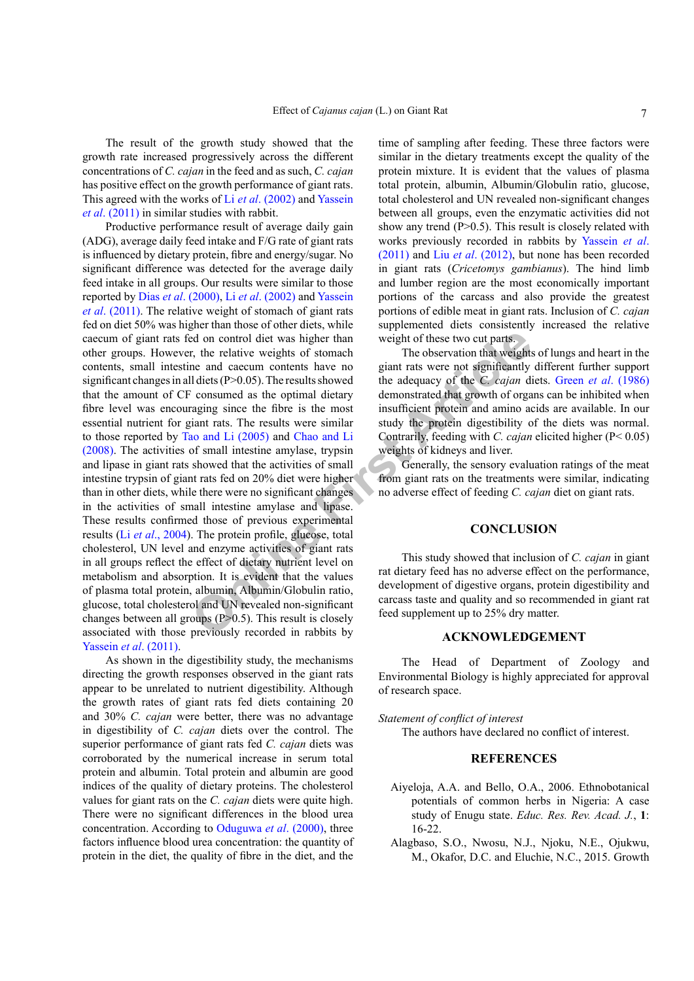The result of the growth study showed that the growth rate increased progressively across the different concentrations of *C. cajan* in the feed and as such, *C. cajan*  has positive effect on the growth performance of giant rats. This agreed with the works of Li *et al*. [\(2002\)](#page-7-6) and [Yassein](#page-8-2) *et al*[. \(2011\)](#page-8-2) in similar studies with rabbit.

Example the end control diet was higher than<br>
The observation that weights<br>
in the relative weights of stomach<br>
me and caecum contents have no<br>
giant rats were not significantly<br>
il distes (P>0.05). The results showed the Productive performance result of average daily gain (ADG), average daily feed intake and F/G rate of giant rats is influenced by dietary protein, fibre and energy/sugar. No significant difference was detected for the average daily feed intake in all groups. Our results were similar to those reported by Dias *et al*[. \(2000\)](#page-7-14), Li *et al*[. \(2002\)](#page-7-6) and [Yassein](#page-8-2) *et al*[. \(2011\)](#page-8-2). The relative weight of stomach of giant rats fed on diet 50% was higher than those of other diets, while caecum of giant rats fed on control diet was higher than other groups. However, the relative weights of stomach contents, small intestine and caecum contents have no significant changes in all diets (P>0.05). The results showed that the amount of CF consumed as the optimal dietary fibre level was encouraging since the fibre is the most essential nutrient for giant rats. The results were similar to those reported by Tao and Li (2005) and Chao and Li [\(2008\)](#page-7-15). The activities of small intestine amylase, trypsin and lipase in giant rats showed that the activities of small intestine trypsin of giant rats fed on 20% diet were higher than in other diets, while there were no significant changes in the activities of small intestine amylase and lipase. These results confirmed those of previous experimental results (Li *et al*[., 2004](#page-7-16)). The protein profile, glucose, total cholesterol, UN level and enzyme activities of giant rats in all groups reflect the effect of dietary nutrient level on metabolism and absorption. It is evident that the values of plasma total protein, albumin, Albumin/Globulin ratio, glucose, total cholesterol and UN revealed non-significant changes between all groups  $(P>0.5)$ . This result is closely associated with those previously recorded in rabbits by Yassein *et al*[. \(2011\).](#page-8-2)

As shown in the digestibility study, the mechanisms directing the growth responses observed in the giant rats appear to be unrelated to nutrient digestibility. Although the growth rates of giant rats fed diets containing 20 and 30% *C. cajan* were better, there was no advantage in digestibility of *C. cajan* diets over the control. The superior performance of giant rats fed *C. cajan* diets was corroborated by the numerical increase in serum total protein and albumin. Total protein and albumin are good indices of the quality of dietary proteins. The cholesterol values for giant rats on the *C. cajan* diets were quite high. There were no significant differences in the blood urea concentration. According to [Oduguwa](#page-8-8) *et al*. (2000), three factors influence blood urea concentration: the quantity of protein in the diet, the quality of fibre in the diet, and the time of sampling after feeding. These three factors were similar in the dietary treatments except the quality of the protein mixture. It is evident that the values of plasma total protein, albumin, Albumin/Globulin ratio, glucose, total cholesterol and UN revealed non-significant changes between all groups, even the enzymatic activities did not show any trend (P>0.5). This result is closely related with works previously recorded in rabbits by [Yassein](#page-8-2) *et al*. [\(2011\)](#page-8-2) and Liu *et al*[. \(2012\)](#page-7-16), but none has been recorded in giant rats (*Cricetomys gambianus*). The hind limb and lumber region are the most economically important portions of the carcass and also provide the greatest portions of edible meat in giant rats. Inclusion of *C. cajan* supplemented diets consistently increased the relative weight of these two cut parts.

The observation that weights of lungs and heart in the giant rats were not significantly different further support the adequacy of the *C. cajan* diets. Green *et al*[. \(1986\)](#page-7-17) demonstrated that growth of organs can be inhibited when insufficient protein and amino acids are available. In our study the protein digestibility of the diets was normal. Contrarily, feeding with *C. cajan* elicited higher (P< 0.05) weights of kidneys and liver.

Generally, the sensory evaluation ratings of the meat from giant rats on the treatments were similar, indicating no adverse effect of feeding *C. cajan* diet on giant rats.

#### **CONCLUSION**

This study showed that inclusion of *C. cajan* in giant rat dietary feed has no adverse effect on the performance, development of digestive organs, protein digestibility and carcass taste and quality and so recommended in giant rat feed supplement up to 25% dry matter.

#### **ACKNOWLEDGEMENT**

The Head of Department of Zoology and Environmental Biology is highly appreciated for approval of research space.

#### *Statement of conflict of interest*

The authors have declared no conflict of interest.

## **REFERENCES**

- <span id="page-6-0"></span>Aiyeloja, A.A. and Bello, O.A., 2006. Ethnobotanical potentials of common herbs in Nigeria: A case study of Enugu state. *Educ. Res. Rev. Acad. J.*, **1**: 16-22.
- <span id="page-6-1"></span>Alagbaso, S.O., Nwosu, N.J., Njoku, N.E., Ojukwu, M., Okafor, D.C. and Eluchie, N.C., 2015. Growth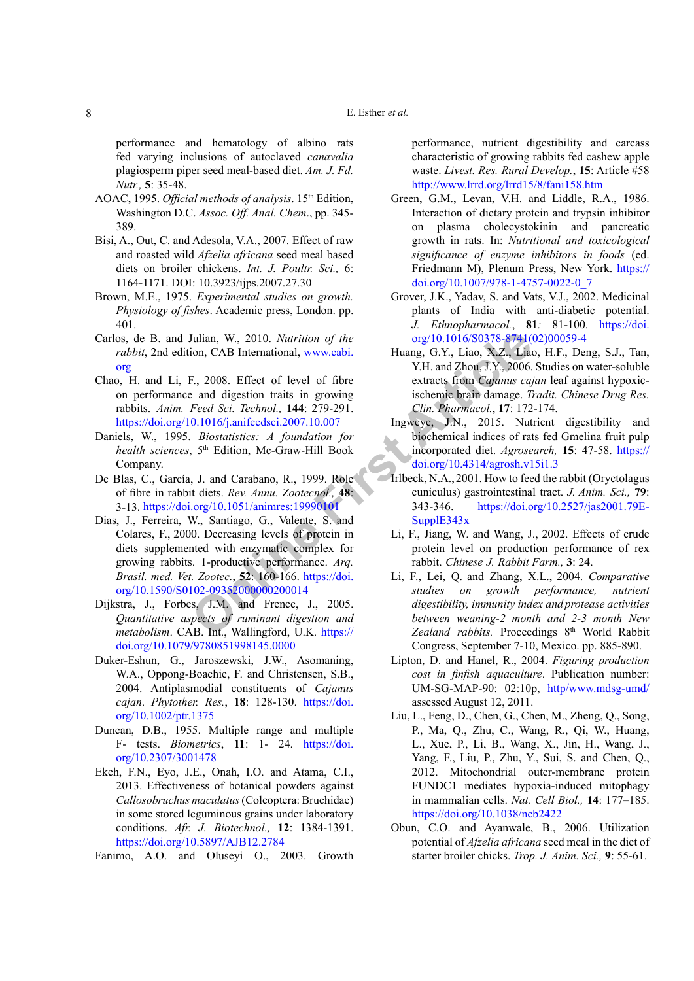#### E. Esther *et al.*

performance and hematology of albino rats fed varying inclusions of autoclaved *canavalia*  plagiosperm piper seed meal-based diet. *Am. J. Fd. Nutr.,* **5**: 35-48.

- AOAC, 1995. *Official methods of analysis*. 15<sup>th</sup> Edition, Washington D.C. *Assoc. Off. Anal. Chem*., pp. 345- 389.
- Bisi, A., Out, C. and Adesola, V.A., 2007. Effect of raw and roasted wild *Afzelia africana* seed meal based diets on broiler chickens. *Int. J. Poultr. Sci.,* 6: 1164-1171. DOI: 10.3923/ijps.2007.27.30
- <span id="page-7-7"></span>Brown, M.E., 1975. *Experimental studies on growth. Physiology of fishes*. Academic press, London. pp. 401.
- Carlos, de B. and Julian, W., 2010. *Nutrition of the rabbit*, 2nd edition, CAB International, www.cabi. [org](http://www.cabi.org )
- <span id="page-7-15"></span>Chao, H. and Li, F., 2008. Effect of level of fibre on performance and digestion traits in growing rabbits. *Anim. Feed Sci. Technol.,* **144**: 279-291. <https://doi.org/10.1016/j.anifeedsci.2007.10.007>
- <span id="page-7-11"></span>Daniels, W., 1995. *Biostatistics: A foundation for health sciences*, 5th Edition, Mc-Graw-Hill Book Company.
- <span id="page-7-14"></span>De Blas, C., García, J. and Carabano, R., 1999. Role of fibre in rabbit diets. *Rev. Annu. Zootecnol.,* **48**: 3-13. <https://doi.org/10.1051/animres:19990101>
- <span id="page-7-4"></span>Julian, W., 2010. *Nutrition of the*<br>
on, CAB International, www.cabi.<br>
F., 2008. Effec[t](https://doi.org/10.4314/agrosh.v15i1.3) of level of fibre<br>
e and digestion traits in growing<br>
Freed Sci. Technol., 144: 279-291.<br>
Feed Sci. Technol., 144: 279-291.<br>
Clin. Ph Dias, J., Ferreira, W., Santiago, G., Valente, S. and Colares, F., 2000. Decreasing levels of protein in diets supplemented with enzymatic complex for growing rabbits. 1-productive performance. *Arq. Brasil. med. Vet. Zootec.*, **52**: 160-166. https://doi. [org/10.1590/S0102-09352000000200014](https://doi.org/10.1590/S0102-09352000000200014)
- <span id="page-7-12"></span>Dijkstra, J., Forbes, J.M. and Frence, J., 2005. *Quantitative aspects of ruminant digestion and metabolism*. CAB. Int., Wallingford, U.K. https:// [doi.org/10.1079/9780851998145.0000](https://doi.org/10.1079/9780851998145.0000)
- <span id="page-7-2"></span>Duker-Eshun, G., Jaroszewski, J.W., Asomaning, W.A., Oppong-Boachie, F. and Christensen, S.B., 2004. Antiplasmodial constituents of *Cajanus cajan*. *Phytother. Res.*, **18**: 128-130. [https://doi.](https://doi.org/10.1002/ptr.1375) [org/10.1002/ptr.1375](https://doi.org/10.1002/ptr.1375)
- Duncan, D.B., 1955. Multiple range and multiple F- tests. *Biometrics*, **11**: 1- 24. [https://doi.](https://doi.org/10.2307/3001478) [org/10.2307/3001478](https://doi.org/10.2307/3001478)
- <span id="page-7-3"></span>Ekeh, F.N., Eyo, J.E., Onah, I.O. and Atama, C.I., 2013. Effectiveness of botanical powders against *Callosobruchus maculatus* (Coleoptera: Bruchidae) in some stored leguminous grains under laboratory conditions. *Afr. J. Biotechnol.,* **12**: 1384-1391. h[ttps://doi.org/10.5897/AJB12.2784](https://doi.org/10.5897/AJB12.2784)
- <span id="page-7-13"></span><span id="page-7-9"></span>Fanimo, A.O. and Oluseyi O., 2003. Growth

performance, nutrient digestibility and carcass characteristic of growing rabbits fed cashew apple waste. *Livest. Res. Rural Develop.*, **15**: Article #58 <http://www.lrrd.org/lrrd15/8/fani158.htm>

- <span id="page-7-17"></span>Green, G.M., Levan, V.H. and Liddle, R.A., 1986. Interaction of dietary protein and trypsin inhibitor on plasma cholecystokinin and pancreatic growth in rats. In: *Nutritional and toxicological significance of enzyme inhibitors in foods* (ed. Friedmann M), Plenum Press, New York. [https://](https://doi.org/10.1007/978-1-4757-0022-0_7) [doi.org/10.1007/978-1-4757-0022-0\\_7](https://doi.org/10.1007/978-1-4757-0022-0_7)
- <span id="page-7-0"></span>Grover, J.K., Yadav, S. and Vats, V.J., 2002. Medicinal plants of India with anti-diabetic potential. *J. Ethnopharmacol.*, **81***:* 81-100. [https://doi.](https://doi.org/10.1016/S0378-8741(02)00059-4) [org/10.1016/S0378-8741\(02\)00059-4](https://doi.org/10.1016/S0378-8741(02)00059-4)
- <span id="page-7-1"></span>Huang, G.Y., Liao, X.Z., Liao, H.F., Deng, S.J., Tan, Y.H. and Zhou, J.Y., 2006. Studies on water-soluble extracts from *Cajanus cajan* leaf against hypoxicischemic brain damage. *Tradit. Chinese Drug Res. Clin. Pharmacol.*, **17**: 172-174.
- <span id="page-7-8"></span>Ingweye, J.N., 2015. Nutrient digestibility and biochemical indices of rats fed Gmelina fruit pulp incorporated diet. *Agrosearch,* **15**: 47-58. [https://](https://doi.org/10.4314/agrosh.v15i1.3) doi.org/10.4314/agrosh.v15i1.3
- <span id="page-7-16"></span><span id="page-7-10"></span><span id="page-7-6"></span><span id="page-7-5"></span>Irlbeck, N.A., 2001. How to feed the rabbit (Oryctolagus cuniculus) gastrointestinal tract. *J. Anim. Sci.,* **79**: 343-346. [https://doi.org/10.2527/jas2001.79E-](https://doi.org/10.2527/jas2001.79E-SupplE343x)SupplE343x
	- Li, F., Jiang, W. and Wang, J., 2002. Effects of crude protein level on production performance of rex rabbit. *Chinese J. Rabbit Farm.,* **3**: 24.
	- Li, F., Lei, Q. and Zhang, X.L., 2004. *Comparative studies on growth performance, nutrient digestibility, immunity index and protease activities between weaning-2 month and 2-3 month New*  Zealand rabbits. Proceedings 8<sup>th</sup> World Rabbit Congress, September 7-10, Mexico. pp. 885-890.
	- Lipton, D. and Hanel, R., 2004. *Figuring production cost in finfish aquaculture*. Publication number: UM-SG-MAP-90: 02:10p, [http/www.mdsg-umd/](http/www.mdsg-umd/ ) assessed August 12, 2011.
	- Liu, L., Feng, D., Chen, G., Chen, M., Zheng, Q., Song, P., Ma, Q., Zhu, C., Wang, R., Qi, W., Huang, L., Xue, P., Li, B., Wang, X., Jin, H., Wang, J., Yang, F., Liu, P., Zhu, Y., Sui, S. and Chen, Q., 2012. Mitochondrial outer-membrane protein FUNDC1 mediates hypoxia-induced mitophagy in mammalian cells. *Nat. Cell Biol.,* **14**: 177–185. <https://doi.org/10.1038/ncb2422>
	- Obun, C.O. and Ayanwale, B., 2006. Utilization potential of *Afzelia africana* seed meal in the diet of starter broiler chicks. *Trop. J. Anim. Sci.,* **9**: 55-61.